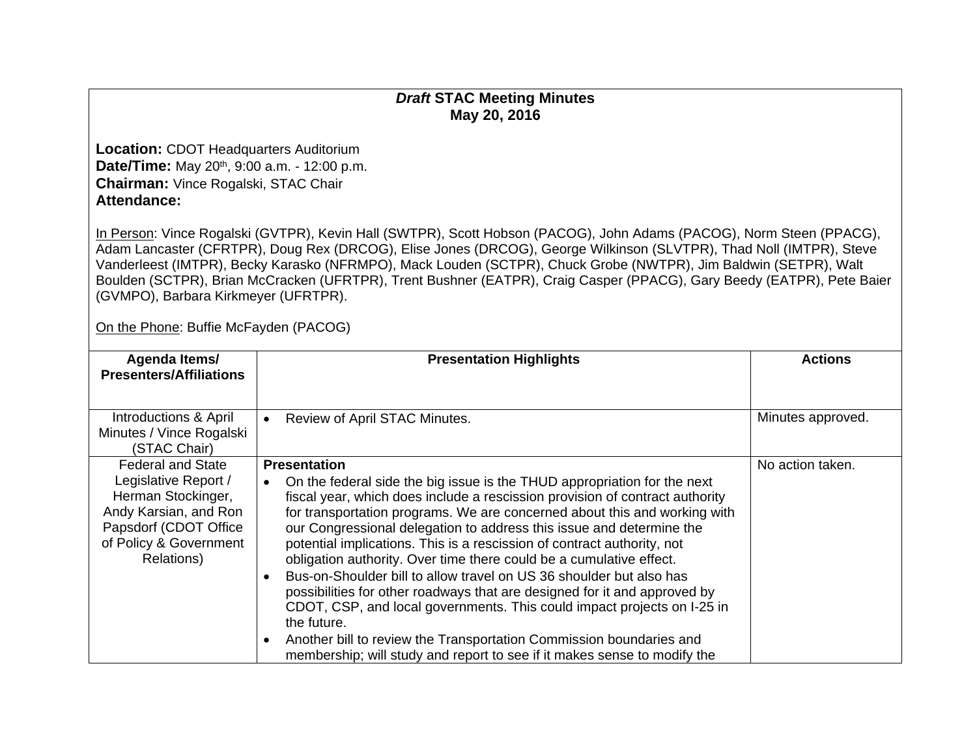## *Draft* **STAC Meeting Minutes May 20, 2016**

**Location:** CDOT Headquarters Auditorium **Date/Time:** May 20<sup>th</sup>, 9:00 a.m. - 12:00 p.m. **Chairman:** Vince Rogalski, STAC Chair **Attendance:** 

In Person: Vince Rogalski (GVTPR), Kevin Hall (SWTPR), Scott Hobson (PACOG), John Adams (PACOG), Norm Steen (PPACG), Adam Lancaster (CFRTPR), Doug Rex (DRCOG), Elise Jones (DRCOG), George Wilkinson (SLVTPR), Thad Noll (IMTPR), Steve Vanderleest (IMTPR), Becky Karasko (NFRMPO), Mack Louden (SCTPR), Chuck Grobe (NWTPR), Jim Baldwin (SETPR), Walt Boulden (SCTPR), Brian McCracken (UFRTPR), Trent Bushner (EATPR), Craig Casper (PPACG), Gary Beedy (EATPR), Pete Baier (GVMPO), Barbara Kirkmeyer (UFRTPR).

On the Phone: Buffie McFayden (PACOG)

| Agenda Items/                                   | <b>Presentation Highlights</b>                                                                                                                 | <b>Actions</b>    |
|-------------------------------------------------|------------------------------------------------------------------------------------------------------------------------------------------------|-------------------|
| <b>Presenters/Affiliations</b>                  |                                                                                                                                                |                   |
|                                                 |                                                                                                                                                |                   |
| Introductions & April                           | Review of April STAC Minutes.<br>$\bullet$                                                                                                     | Minutes approved. |
| Minutes / Vince Rogalski                        |                                                                                                                                                |                   |
| (STAC Chair)                                    |                                                                                                                                                |                   |
| <b>Federal and State</b>                        | <b>Presentation</b>                                                                                                                            | No action taken.  |
| Legislative Report /                            | On the federal side the big issue is the THUD appropriation for the next<br>$\bullet$                                                          |                   |
| Herman Stockinger,                              | fiscal year, which does include a rescission provision of contract authority                                                                   |                   |
| Andy Karsian, and Ron                           | for transportation programs. We are concerned about this and working with                                                                      |                   |
| Papsdorf (CDOT Office<br>of Policy & Government | our Congressional delegation to address this issue and determine the                                                                           |                   |
| Relations)                                      | potential implications. This is a rescission of contract authority, not<br>obligation authority. Over time there could be a cumulative effect. |                   |
|                                                 | Bus-on-Shoulder bill to allow travel on US 36 shoulder but also has<br>$\bullet$                                                               |                   |
|                                                 | possibilities for other roadways that are designed for it and approved by                                                                      |                   |
|                                                 | CDOT, CSP, and local governments. This could impact projects on I-25 in                                                                        |                   |
|                                                 | the future.                                                                                                                                    |                   |
|                                                 | Another bill to review the Transportation Commission boundaries and<br>$\bullet$                                                               |                   |
|                                                 | membership; will study and report to see if it makes sense to modify the                                                                       |                   |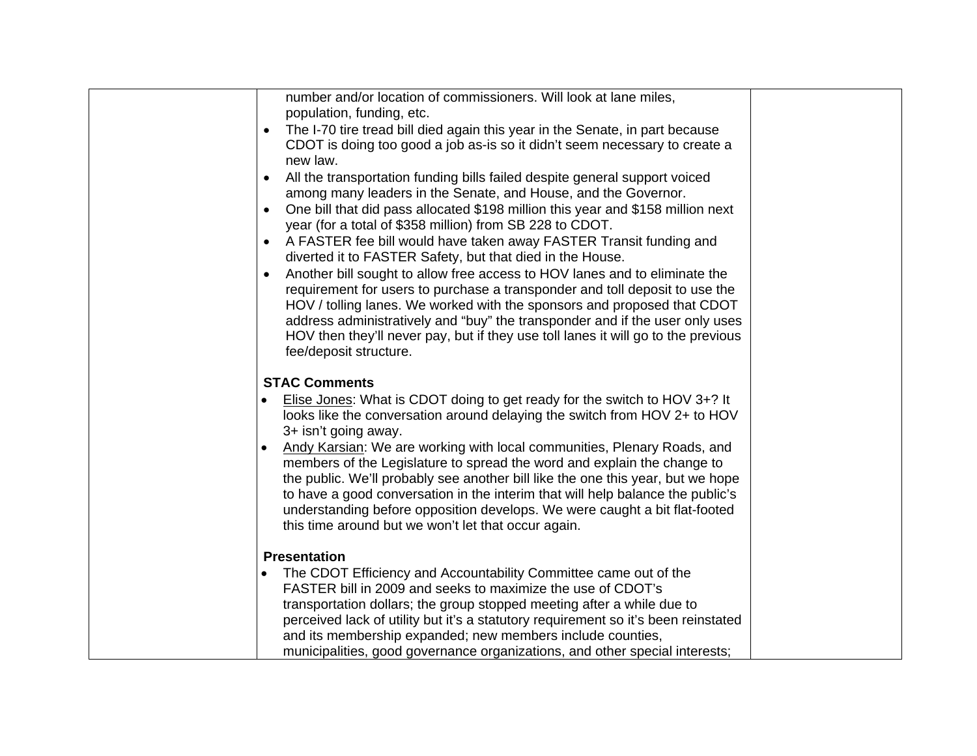| number and/or location of commissioners. Will look at lane miles,                      |  |
|----------------------------------------------------------------------------------------|--|
| population, funding, etc.                                                              |  |
| The I-70 tire tread bill died again this year in the Senate, in part because           |  |
| CDOT is doing too good a job as-is so it didn't seem necessary to create a             |  |
| new law.                                                                               |  |
| All the transportation funding bills failed despite general support voiced             |  |
| among many leaders in the Senate, and House, and the Governor.                         |  |
| One bill that did pass allocated \$198 million this year and \$158 million next        |  |
| year (for a total of \$358 million) from SB 228 to CDOT.                               |  |
| A FASTER fee bill would have taken away FASTER Transit funding and                     |  |
| diverted it to FASTER Safety, but that died in the House.                              |  |
| Another bill sought to allow free access to HOV lanes and to eliminate the             |  |
| requirement for users to purchase a transponder and toll deposit to use the            |  |
| HOV / tolling lanes. We worked with the sponsors and proposed that CDOT                |  |
| address administratively and "buy" the transponder and if the user only uses           |  |
| HOV then they'll never pay, but if they use toll lanes it will go to the previous      |  |
| fee/deposit structure.                                                                 |  |
|                                                                                        |  |
| <b>STAC Comments</b>                                                                   |  |
| Elise Jones: What is CDOT doing to get ready for the switch to HOV 3+? It<br>$\bullet$ |  |
| looks like the conversation around delaying the switch from HOV 2+ to HOV              |  |
| 3+ isn't going away.                                                                   |  |
| Andy Karsian: We are working with local communities, Plenary Roads, and                |  |
| members of the Legislature to spread the word and explain the change to                |  |
| the public. We'll probably see another bill like the one this year, but we hope        |  |
| to have a good conversation in the interim that will help balance the public's         |  |
| understanding before opposition develops. We were caught a bit flat-footed             |  |
| this time around but we won't let that occur again.                                    |  |
|                                                                                        |  |
| <b>Presentation</b>                                                                    |  |
| The CDOT Efficiency and Accountability Committee came out of the                       |  |
| FASTER bill in 2009 and seeks to maximize the use of CDOT's                            |  |
| transportation dollars; the group stopped meeting after a while due to                 |  |
| perceived lack of utility but it's a statutory requirement so it's been reinstated     |  |
| and its membership expanded; new members include counties,                             |  |
| municipalities, good governance organizations, and other special interests;            |  |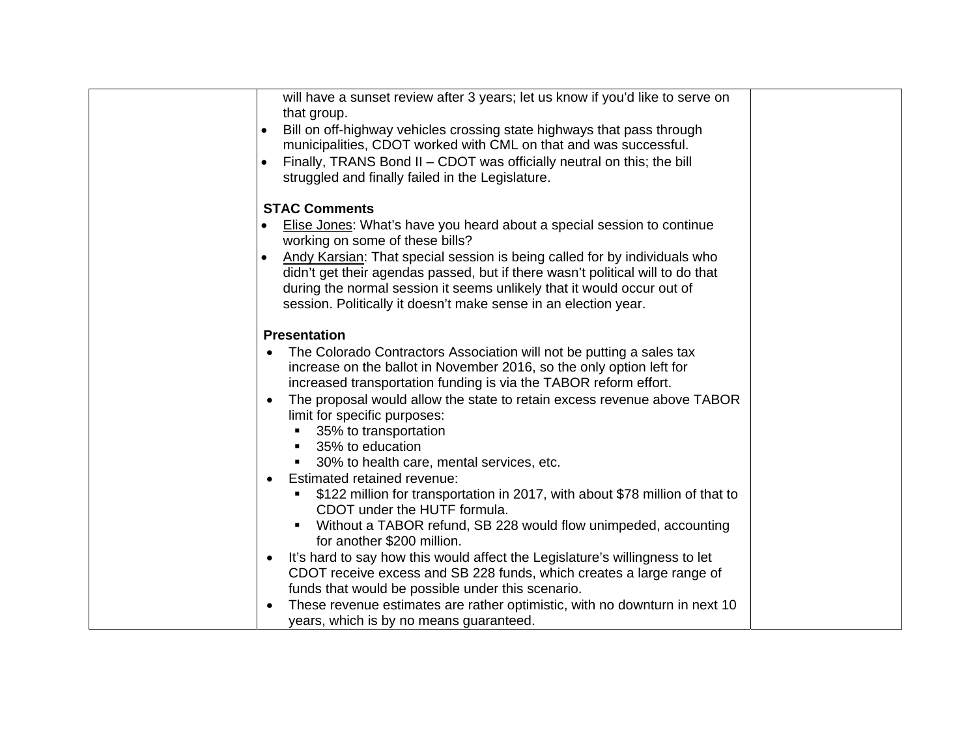| will have a sunset review after 3 years; let us know if you'd like to serve on<br>that group. |  |
|-----------------------------------------------------------------------------------------------|--|
| Bill on off-highway vehicles crossing state highways that pass through                        |  |
| municipalities, CDOT worked with CML on that and was successful.                              |  |
| Finally, TRANS Bond II - CDOT was officially neutral on this; the bill                        |  |
| struggled and finally failed in the Legislature.                                              |  |
|                                                                                               |  |
| <b>STAC Comments</b>                                                                          |  |
| Elise Jones: What's have you heard about a special session to continue                        |  |
| working on some of these bills?                                                               |  |
| Andy Karsian: That special session is being called for by individuals who                     |  |
| didn't get their agendas passed, but if there wasn't political will to do that                |  |
| during the normal session it seems unlikely that it would occur out of                        |  |
| session. Politically it doesn't make sense in an election year.                               |  |
| <b>Presentation</b>                                                                           |  |
| The Colorado Contractors Association will not be putting a sales tax                          |  |
| increase on the ballot in November 2016, so the only option left for                          |  |
| increased transportation funding is via the TABOR reform effort.                              |  |
| The proposal would allow the state to retain excess revenue above TABOR<br>$\bullet$          |  |
| limit for specific purposes:                                                                  |  |
| 35% to transportation                                                                         |  |
| 35% to education                                                                              |  |
| 30% to health care, mental services, etc.                                                     |  |
| Estimated retained revenue:<br>$\bullet$                                                      |  |
| \$122 million for transportation in 2017, with about \$78 million of that to                  |  |
| CDOT under the HUTF formula.                                                                  |  |
| Without a TABOR refund, SB 228 would flow unimpeded, accounting<br>for another \$200 million. |  |
| It's hard to say how this would affect the Legislature's willingness to let<br>٠              |  |
| CDOT receive excess and SB 228 funds, which creates a large range of                          |  |
| funds that would be possible under this scenario.                                             |  |
| These revenue estimates are rather optimistic, with no downturn in next 10                    |  |
| years, which is by no means guaranteed.                                                       |  |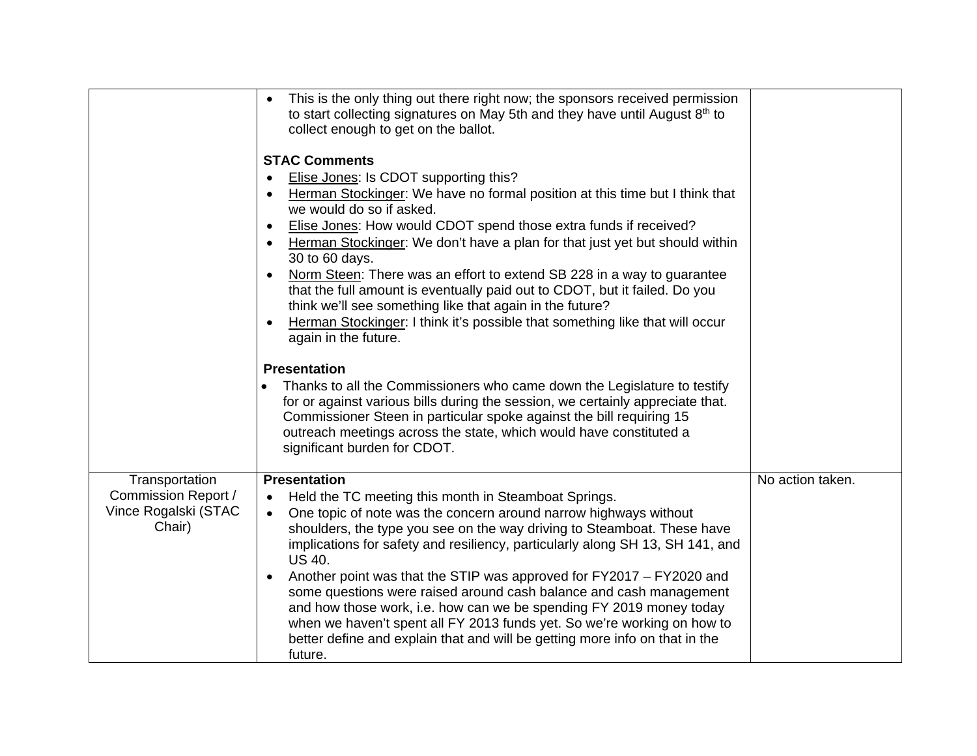|                                                                                | This is the only thing out there right now; the sponsors received permission<br>to start collecting signatures on May 5th and they have until August 8th to<br>collect enough to get on the ballot.                                                                                                                                                                                                                                                                                                                                                                                                                                                                                                                                                   |                  |
|--------------------------------------------------------------------------------|-------------------------------------------------------------------------------------------------------------------------------------------------------------------------------------------------------------------------------------------------------------------------------------------------------------------------------------------------------------------------------------------------------------------------------------------------------------------------------------------------------------------------------------------------------------------------------------------------------------------------------------------------------------------------------------------------------------------------------------------------------|------------------|
|                                                                                | <b>STAC Comments</b><br>Elise Jones: Is CDOT supporting this?<br>Herman Stockinger: We have no formal position at this time but I think that<br>we would do so if asked.<br>Elise Jones: How would CDOT spend those extra funds if received?<br>Herman Stockinger: We don't have a plan for that just yet but should within<br>30 to 60 days.<br>Norm Steen: There was an effort to extend SB 228 in a way to guarantee<br>that the full amount is eventually paid out to CDOT, but it failed. Do you<br>think we'll see something like that again in the future?<br>Herman Stockinger: I think it's possible that something like that will occur<br>again in the future.                                                                             |                  |
|                                                                                | <b>Presentation</b><br>Thanks to all the Commissioners who came down the Legislature to testify<br>for or against various bills during the session, we certainly appreciate that.<br>Commissioner Steen in particular spoke against the bill requiring 15<br>outreach meetings across the state, which would have constituted a<br>significant burden for CDOT.                                                                                                                                                                                                                                                                                                                                                                                       |                  |
| Transportation<br><b>Commission Report /</b><br>Vince Rogalski (STAC<br>Chair) | <b>Presentation</b><br>Held the TC meeting this month in Steamboat Springs.<br>٠<br>One topic of note was the concern around narrow highways without<br>$\bullet$<br>shoulders, the type you see on the way driving to Steamboat. These have<br>implications for safety and resiliency, particularly along SH 13, SH 141, and<br><b>US 40.</b><br>Another point was that the STIP was approved for FY2017 - FY2020 and<br>$\bullet$<br>some questions were raised around cash balance and cash management<br>and how those work, i.e. how can we be spending FY 2019 money today<br>when we haven't spent all FY 2013 funds yet. So we're working on how to<br>better define and explain that and will be getting more info on that in the<br>future. | No action taken. |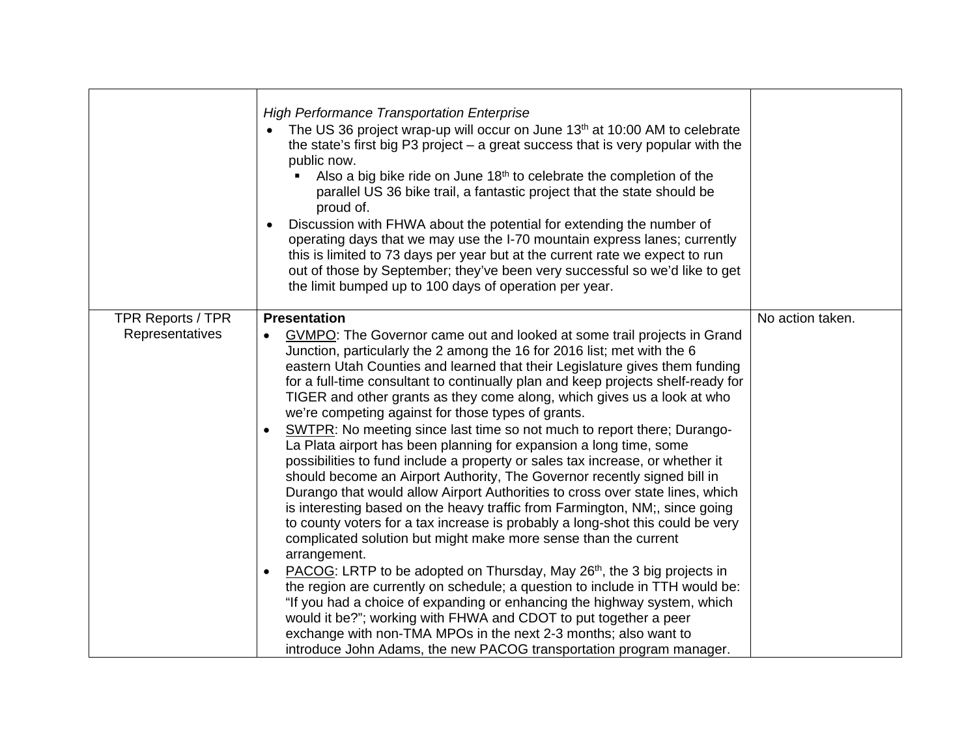|                                             | <b>High Performance Transportation Enterprise</b><br>The US 36 project wrap-up will occur on June 13th at 10:00 AM to celebrate<br>the state's first big $P3$ project $-$ a great success that is very popular with the<br>public now.<br>Also a big bike ride on June 18 <sup>th</sup> to celebrate the completion of the<br>parallel US 36 bike trail, a fantastic project that the state should be<br>proud of.<br>Discussion with FHWA about the potential for extending the number of<br>$\bullet$<br>operating days that we may use the I-70 mountain express lanes; currently<br>this is limited to 73 days per year but at the current rate we expect to run<br>out of those by September; they've been very successful so we'd like to get<br>the limit bumped up to 100 days of operation per year.                                                                                                                                                                                                                                                                                                                                                                                                                                                                                                                                                                                                                                                                                                                                                                                                                                   |                  |
|---------------------------------------------|-------------------------------------------------------------------------------------------------------------------------------------------------------------------------------------------------------------------------------------------------------------------------------------------------------------------------------------------------------------------------------------------------------------------------------------------------------------------------------------------------------------------------------------------------------------------------------------------------------------------------------------------------------------------------------------------------------------------------------------------------------------------------------------------------------------------------------------------------------------------------------------------------------------------------------------------------------------------------------------------------------------------------------------------------------------------------------------------------------------------------------------------------------------------------------------------------------------------------------------------------------------------------------------------------------------------------------------------------------------------------------------------------------------------------------------------------------------------------------------------------------------------------------------------------------------------------------------------------------------------------------------------------|------------------|
| <b>TPR Reports / TPR</b><br>Representatives | <b>Presentation</b><br><b>GVMPO:</b> The Governor came out and looked at some trail projects in Grand<br>$\bullet$<br>Junction, particularly the 2 among the 16 for 2016 list; met with the 6<br>eastern Utah Counties and learned that their Legislature gives them funding<br>for a full-time consultant to continually plan and keep projects shelf-ready for<br>TIGER and other grants as they come along, which gives us a look at who<br>we're competing against for those types of grants.<br>SWTPR: No meeting since last time so not much to report there; Durango-<br>$\bullet$<br>La Plata airport has been planning for expansion a long time, some<br>possibilities to fund include a property or sales tax increase, or whether it<br>should become an Airport Authority, The Governor recently signed bill in<br>Durango that would allow Airport Authorities to cross over state lines, which<br>is interesting based on the heavy traffic from Farmington, NM;, since going<br>to county voters for a tax increase is probably a long-shot this could be very<br>complicated solution but might make more sense than the current<br>arrangement.<br>PACOG: LRTP to be adopted on Thursday, May 26 <sup>th</sup> , the 3 big projects in<br>$\bullet$<br>the region are currently on schedule; a question to include in TTH would be:<br>"If you had a choice of expanding or enhancing the highway system, which<br>would it be?"; working with FHWA and CDOT to put together a peer<br>exchange with non-TMA MPOs in the next 2-3 months; also want to<br>introduce John Adams, the new PACOG transportation program manager. | No action taken. |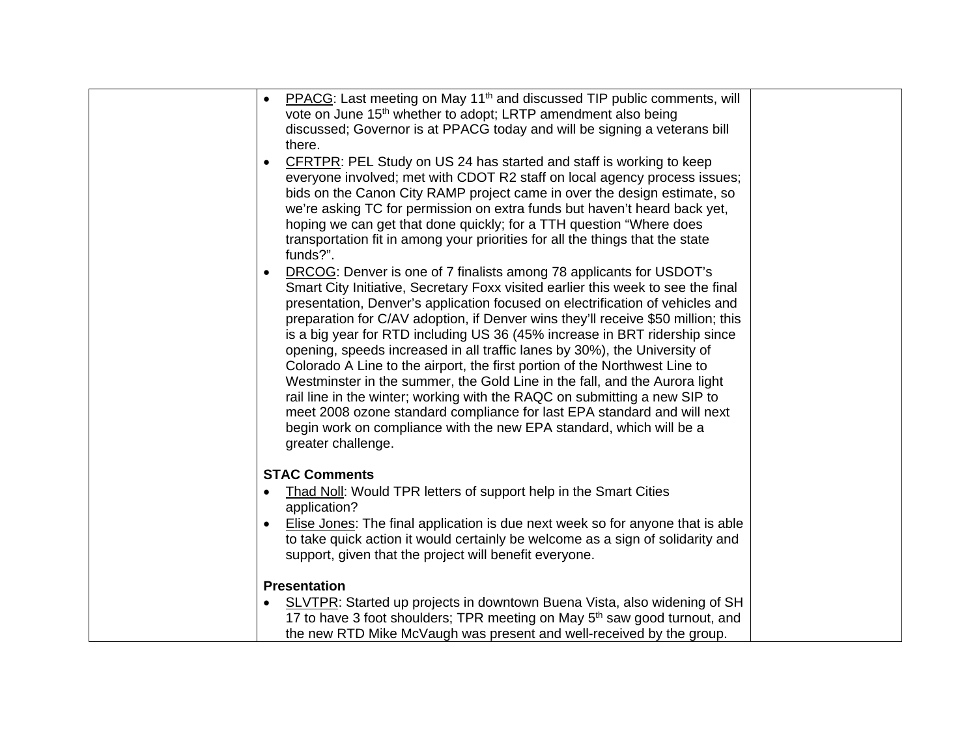| PPACG: Last meeting on May 11 <sup>th</sup> and discussed TIP public comments, will<br>$\bullet$<br>vote on June 15 <sup>th</sup> whether to adopt; LRTP amendment also being<br>discussed; Governor is at PPACG today and will be signing a veterans bill<br>there.<br>CFRTPR: PEL Study on US 24 has started and staff is working to keep<br>everyone involved; met with CDOT R2 staff on local agency process issues;<br>bids on the Canon City RAMP project came in over the design estimate, so<br>we're asking TC for permission on extra funds but haven't heard back yet,<br>hoping we can get that done quickly; for a TTH question "Where does<br>transportation fit in among your priorities for all the things that the state<br>funds?".<br>DRCOG: Denver is one of 7 finalists among 78 applicants for USDOT's<br>Smart City Initiative, Secretary Foxx visited earlier this week to see the final<br>presentation, Denver's application focused on electrification of vehicles and<br>preparation for C/AV adoption, if Denver wins they'll receive \$50 million; this<br>is a big year for RTD including US 36 (45% increase in BRT ridership since<br>opening, speeds increased in all traffic lanes by 30%), the University of<br>Colorado A Line to the airport, the first portion of the Northwest Line to<br>Westminster in the summer, the Gold Line in the fall, and the Aurora light<br>rail line in the winter; working with the RAQC on submitting a new SIP to<br>meet 2008 ozone standard compliance for last EPA standard and will next<br>begin work on compliance with the new EPA standard, which will be a<br>greater challenge. |  |
|-------------------------------------------------------------------------------------------------------------------------------------------------------------------------------------------------------------------------------------------------------------------------------------------------------------------------------------------------------------------------------------------------------------------------------------------------------------------------------------------------------------------------------------------------------------------------------------------------------------------------------------------------------------------------------------------------------------------------------------------------------------------------------------------------------------------------------------------------------------------------------------------------------------------------------------------------------------------------------------------------------------------------------------------------------------------------------------------------------------------------------------------------------------------------------------------------------------------------------------------------------------------------------------------------------------------------------------------------------------------------------------------------------------------------------------------------------------------------------------------------------------------------------------------------------------------------------------------------------------------------------------------------------------------|--|
| <b>STAC Comments</b><br>Thad Noll: Would TPR letters of support help in the Smart Cities<br>application?<br>Elise Jones: The final application is due next week so for anyone that is able<br>to take quick action it would certainly be welcome as a sign of solidarity and<br>support, given that the project will benefit everyone.<br><b>Presentation</b><br>SLVTPR: Started up projects in downtown Buena Vista, also widening of SH<br>17 to have 3 foot shoulders; TPR meeting on May 5 <sup>th</sup> saw good turnout, and<br>the new RTD Mike McVaugh was present and well-received by the group.                                                                                                                                                                                                                                                                                                                                                                                                                                                                                                                                                                                                                                                                                                                                                                                                                                                                                                                                                                                                                                                        |  |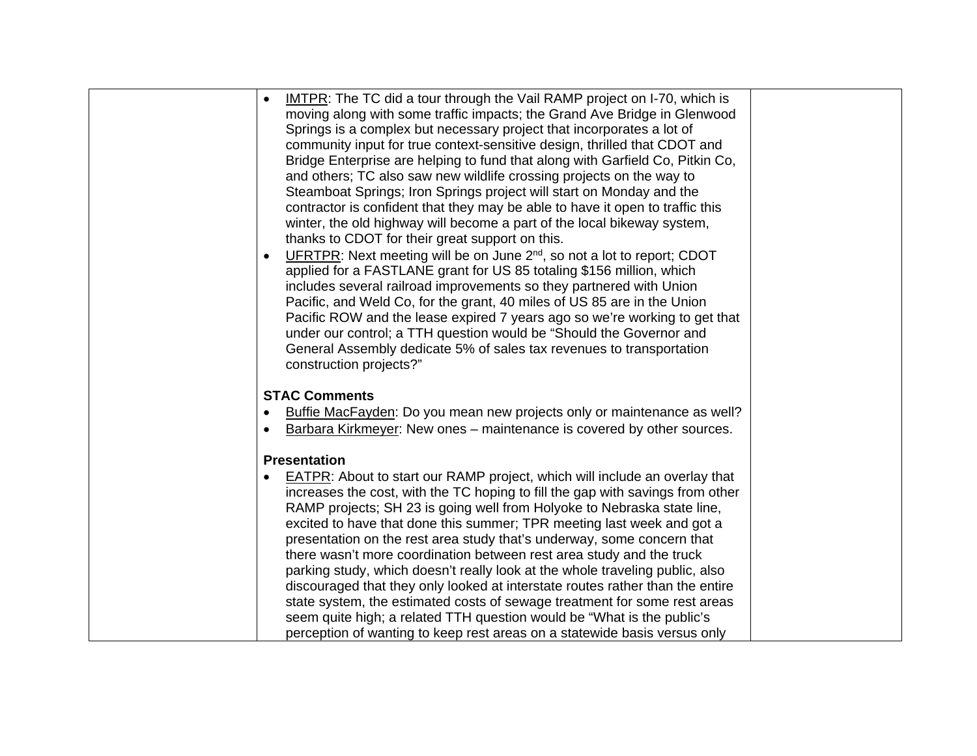| <b>IMTPR:</b> The TC did a tour through the Vail RAMP project on I-70, which is     |  |
|-------------------------------------------------------------------------------------|--|
| moving along with some traffic impacts; the Grand Ave Bridge in Glenwood            |  |
| Springs is a complex but necessary project that incorporates a lot of               |  |
| community input for true context-sensitive design, thrilled that CDOT and           |  |
| Bridge Enterprise are helping to fund that along with Garfield Co, Pitkin Co,       |  |
| and others; TC also saw new wildlife crossing projects on the way to                |  |
| Steamboat Springs; Iron Springs project will start on Monday and the                |  |
| contractor is confident that they may be able to have it open to traffic this       |  |
| winter, the old highway will become a part of the local bikeway system,             |  |
| thanks to CDOT for their great support on this.                                     |  |
| UFRTPR: Next meeting will be on June 2 <sup>nd</sup> , so not a lot to report; CDOT |  |
| applied for a FASTLANE grant for US 85 totaling \$156 million, which                |  |
| includes several railroad improvements so they partnered with Union                 |  |
|                                                                                     |  |
| Pacific, and Weld Co, for the grant, 40 miles of US 85 are in the Union             |  |
| Pacific ROW and the lease expired 7 years ago so we're working to get that          |  |
| under our control; a TTH question would be "Should the Governor and                 |  |
| General Assembly dedicate 5% of sales tax revenues to transportation                |  |
| construction projects?"                                                             |  |
| <b>STAC Comments</b>                                                                |  |
|                                                                                     |  |
| Buffie MacFayden: Do you mean new projects only or maintenance as well?             |  |
| Barbara Kirkmeyer: New ones - maintenance is covered by other sources.              |  |
| <b>Presentation</b>                                                                 |  |
|                                                                                     |  |
| <b>EATPR:</b> About to start our RAMP project, which will include an overlay that   |  |
| increases the cost, with the TC hoping to fill the gap with savings from other      |  |
| RAMP projects; SH 23 is going well from Holyoke to Nebraska state line,             |  |
| excited to have that done this summer; TPR meeting last week and got a              |  |
| presentation on the rest area study that's underway, some concern that              |  |
| there wasn't more coordination between rest area study and the truck                |  |
| parking study, which doesn't really look at the whole traveling public, also        |  |
| discouraged that they only looked at interstate routes rather than the entire       |  |
| state system, the estimated costs of sewage treatment for some rest areas           |  |
| seem quite high; a related TTH question would be "What is the public's              |  |
| perception of wanting to keep rest areas on a statewide basis versus only           |  |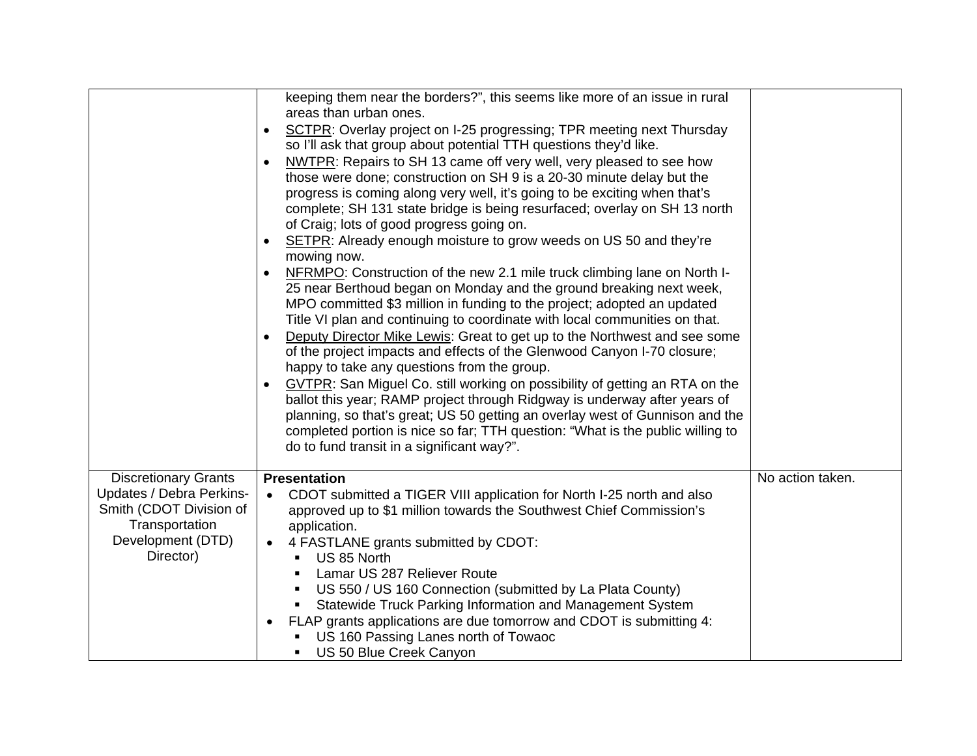|                                                                                                                                        | keeping them near the borders?", this seems like more of an issue in rural<br>areas than urban ones.<br>SCTPR: Overlay project on I-25 progressing; TPR meeting next Thursday<br>$\bullet$<br>so I'll ask that group about potential TTH questions they'd like.<br>NWTPR: Repairs to SH 13 came off very well, very pleased to see how<br>those were done; construction on SH 9 is a 20-30 minute delay but the<br>progress is coming along very well, it's going to be exciting when that's<br>complete; SH 131 state bridge is being resurfaced; overlay on SH 13 north<br>of Craig; lots of good progress going on.<br>SETPR: Already enough moisture to grow weeds on US 50 and they're<br>mowing now.<br>NFRMPO: Construction of the new 2.1 mile truck climbing lane on North I-<br>25 near Berthoud began on Monday and the ground breaking next week,<br>MPO committed \$3 million in funding to the project; adopted an updated<br>Title VI plan and continuing to coordinate with local communities on that.<br>Deputy Director Mike Lewis: Great to get up to the Northwest and see some<br>of the project impacts and effects of the Glenwood Canyon I-70 closure;<br>happy to take any questions from the group.<br>GVTPR: San Miguel Co. still working on possibility of getting an RTA on the<br>ballot this year; RAMP project through Ridgway is underway after years of<br>planning, so that's great; US 50 getting an overlay west of Gunnison and the<br>completed portion is nice so far; TTH question: "What is the public willing to<br>do to fund transit in a significant way?". |                  |
|----------------------------------------------------------------------------------------------------------------------------------------|-----------------------------------------------------------------------------------------------------------------------------------------------------------------------------------------------------------------------------------------------------------------------------------------------------------------------------------------------------------------------------------------------------------------------------------------------------------------------------------------------------------------------------------------------------------------------------------------------------------------------------------------------------------------------------------------------------------------------------------------------------------------------------------------------------------------------------------------------------------------------------------------------------------------------------------------------------------------------------------------------------------------------------------------------------------------------------------------------------------------------------------------------------------------------------------------------------------------------------------------------------------------------------------------------------------------------------------------------------------------------------------------------------------------------------------------------------------------------------------------------------------------------------------------------------------------------------------------------------------|------------------|
| <b>Discretionary Grants</b><br>Updates / Debra Perkins-<br>Smith (CDOT Division of<br>Transportation<br>Development (DTD)<br>Director) | <b>Presentation</b><br>CDOT submitted a TIGER VIII application for North I-25 north and also<br>approved up to \$1 million towards the Southwest Chief Commission's<br>application.<br>4 FASTLANE grants submitted by CDOT:<br>US 85 North<br>$\blacksquare$<br>Lamar US 287 Reliever Route<br>$\blacksquare$<br>US 550 / US 160 Connection (submitted by La Plata County)<br>$\blacksquare$<br>Statewide Truck Parking Information and Management System<br>$\blacksquare$<br>FLAP grants applications are due tomorrow and CDOT is submitting 4:<br>US 160 Passing Lanes north of Towaoc<br>US 50 Blue Creek Canyon                                                                                                                                                                                                                                                                                                                                                                                                                                                                                                                                                                                                                                                                                                                                                                                                                                                                                                                                                                                     | No action taken. |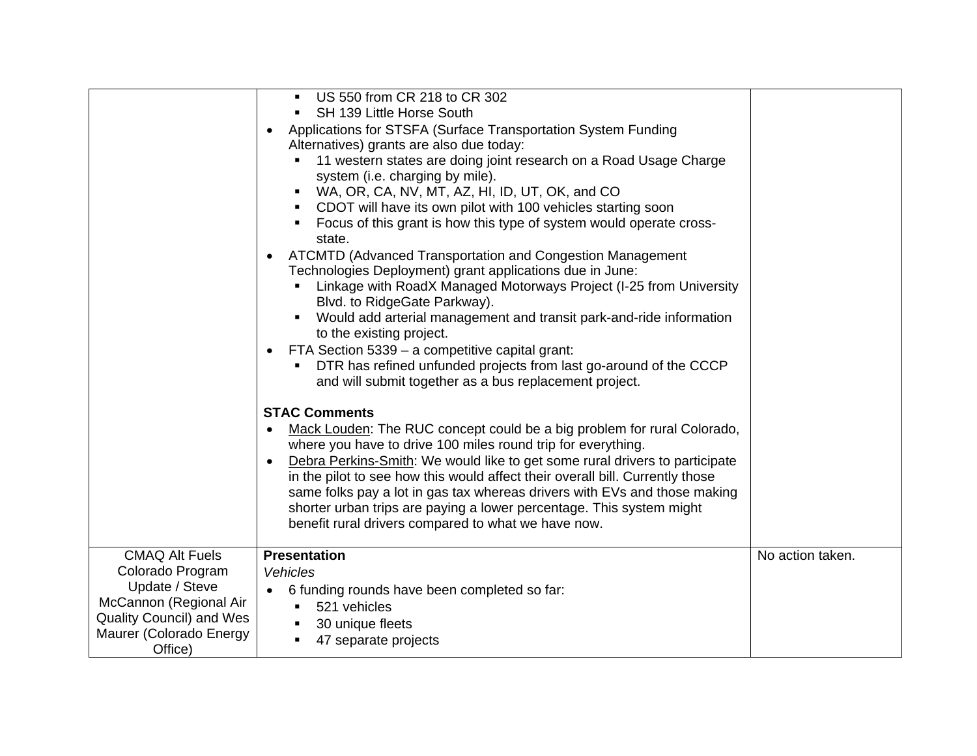|                                                                                                                                                         | US 550 from CR 218 to CR 302<br>SH 139 Little Horse South<br>Applications for STSFA (Surface Transportation System Funding<br>$\bullet$<br>Alternatives) grants are also due today:<br>11 western states are doing joint research on a Road Usage Charge<br>system (i.e. charging by mile).<br>WA, OR, CA, NV, MT, AZ, HI, ID, UT, OK, and CO<br>٠<br>CDOT will have its own pilot with 100 vehicles starting soon<br>٠<br>Focus of this grant is how this type of system would operate cross-<br>٠<br>state.                               |                  |
|---------------------------------------------------------------------------------------------------------------------------------------------------------|---------------------------------------------------------------------------------------------------------------------------------------------------------------------------------------------------------------------------------------------------------------------------------------------------------------------------------------------------------------------------------------------------------------------------------------------------------------------------------------------------------------------------------------------|------------------|
|                                                                                                                                                         | ATCMTD (Advanced Transportation and Congestion Management<br>Technologies Deployment) grant applications due in June:<br>Linkage with RoadX Managed Motorways Project (I-25 from University<br>Blvd. to RidgeGate Parkway).<br>Would add arterial management and transit park-and-ride information<br>to the existing project.<br>FTA Section 5339 - a competitive capital grant:<br>DTR has refined unfunded projects from last go-around of the CCCP<br>and will submit together as a bus replacement project.                            |                  |
|                                                                                                                                                         | <b>STAC Comments</b><br>Mack Louden: The RUC concept could be a big problem for rural Colorado,<br>where you have to drive 100 miles round trip for everything.<br>Debra Perkins-Smith: We would like to get some rural drivers to participate<br>in the pilot to see how this would affect their overall bill. Currently those<br>same folks pay a lot in gas tax whereas drivers with EVs and those making<br>shorter urban trips are paying a lower percentage. This system might<br>benefit rural drivers compared to what we have now. |                  |
| <b>CMAQ Alt Fuels</b><br>Colorado Program<br>Update / Steve<br>McCannon (Regional Air<br>Quality Council) and Wes<br>Maurer (Colorado Energy<br>Office) | <b>Presentation</b><br>Vehicles<br>6 funding rounds have been completed so far:<br>$\bullet$<br>521 vehicles<br>٠.<br>30 unique fleets<br>٠<br>47 separate projects                                                                                                                                                                                                                                                                                                                                                                         | No action taken. |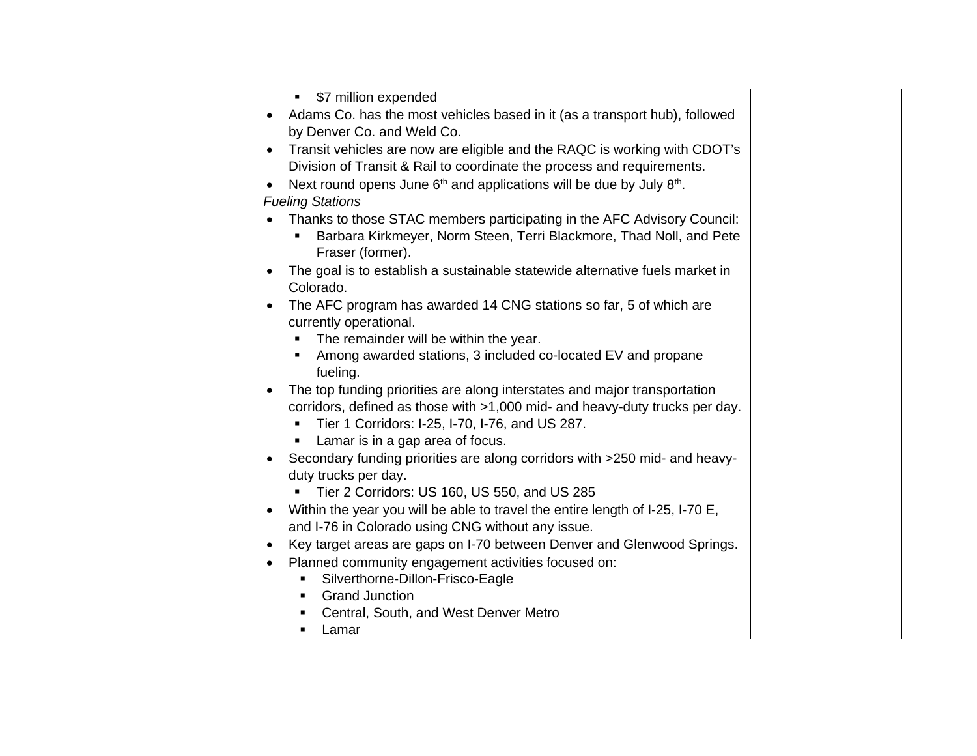| • \$7 million expended                                                                                                                                             |  |
|--------------------------------------------------------------------------------------------------------------------------------------------------------------------|--|
| Adams Co. has the most vehicles based in it (as a transport hub), followed<br>$\bullet$                                                                            |  |
| by Denver Co. and Weld Co.                                                                                                                                         |  |
| Transit vehicles are now are eligible and the RAQC is working with CDOT's<br>$\bullet$                                                                             |  |
| Division of Transit & Rail to coordinate the process and requirements.                                                                                             |  |
| Next round opens June 6 <sup>th</sup> and applications will be due by July 8 <sup>th</sup> .<br>$\bullet$                                                          |  |
| <b>Fueling Stations</b>                                                                                                                                            |  |
| Thanks to those STAC members participating in the AFC Advisory Council:<br>Barbara Kirkmeyer, Norm Steen, Terri Blackmore, Thad Noll, and Pete<br>Fraser (former). |  |
| The goal is to establish a sustainable statewide alternative fuels market in<br>Colorado.                                                                          |  |
| The AFC program has awarded 14 CNG stations so far, 5 of which are<br>$\bullet$<br>currently operational.                                                          |  |
| The remainder will be within the year.                                                                                                                             |  |
| Among awarded stations, 3 included co-located EV and propane<br>fueling.                                                                                           |  |
| The top funding priorities are along interstates and major transportation<br>$\bullet$                                                                             |  |
| corridors, defined as those with >1,000 mid- and heavy-duty trucks per day.                                                                                        |  |
| Tier 1 Corridors: I-25, I-70, I-76, and US 287.                                                                                                                    |  |
| Lamar is in a gap area of focus.                                                                                                                                   |  |
| Secondary funding priorities are along corridors with >250 mid- and heavy-<br>$\bullet$<br>duty trucks per day.                                                    |  |
| Tier 2 Corridors: US 160, US 550, and US 285                                                                                                                       |  |
| Within the year you will be able to travel the entire length of I-25, I-70 E,<br>$\bullet$                                                                         |  |
| and I-76 in Colorado using CNG without any issue.                                                                                                                  |  |
| Key target areas are gaps on I-70 between Denver and Glenwood Springs.<br>٠                                                                                        |  |
| Planned community engagement activities focused on:<br>$\bullet$                                                                                                   |  |
| Silverthorne-Dillon-Frisco-Eagle<br>٠                                                                                                                              |  |
| <b>Grand Junction</b><br>٠                                                                                                                                         |  |
| Central, South, and West Denver Metro                                                                                                                              |  |
| Lamar<br>٠                                                                                                                                                         |  |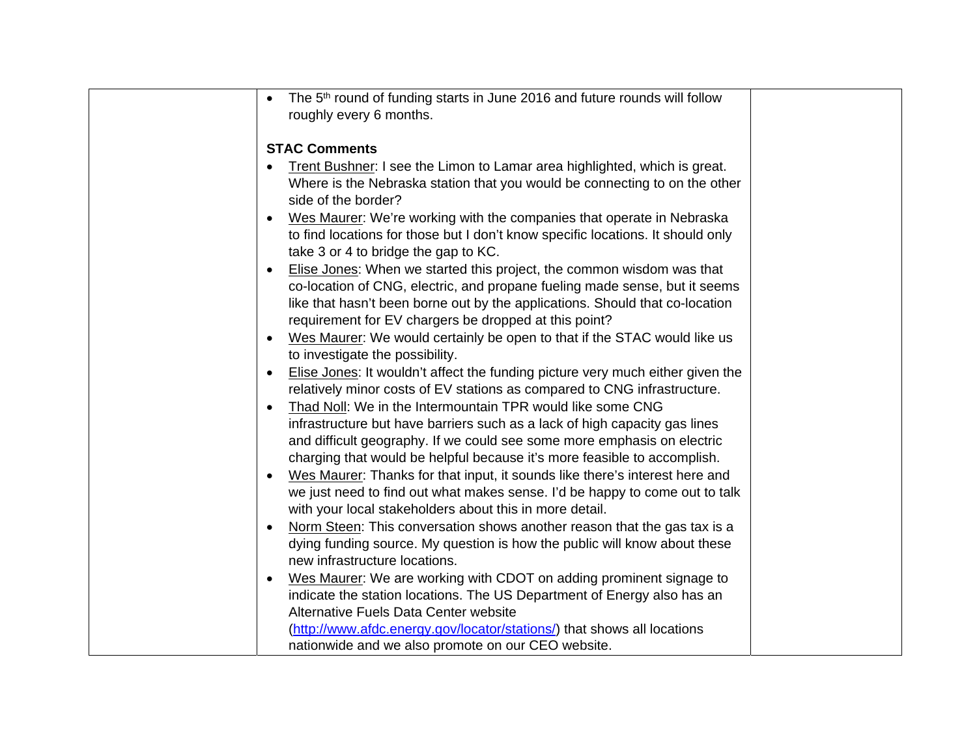| The 5 <sup>th</sup> round of funding starts in June 2016 and future rounds will follow<br>$\bullet$ |  |
|-----------------------------------------------------------------------------------------------------|--|
| roughly every 6 months.                                                                             |  |
|                                                                                                     |  |
| <b>STAC Comments</b>                                                                                |  |
| Trent Bushner: I see the Limon to Lamar area highlighted, which is great.                           |  |
| Where is the Nebraska station that you would be connecting to on the other<br>side of the border?   |  |
| Wes Maurer: We're working with the companies that operate in Nebraska<br>$\bullet$                  |  |
| to find locations for those but I don't know specific locations. It should only                     |  |
| take 3 or 4 to bridge the gap to KC.                                                                |  |
| Elise Jones: When we started this project, the common wisdom was that                               |  |
| co-location of CNG, electric, and propane fueling made sense, but it seems                          |  |
| like that hasn't been borne out by the applications. Should that co-location                        |  |
| requirement for EV chargers be dropped at this point?                                               |  |
| Wes Maurer: We would certainly be open to that if the STAC would like us                            |  |
| to investigate the possibility.                                                                     |  |
| Elise Jones: It wouldn't affect the funding picture very much either given the                      |  |
| relatively minor costs of EV stations as compared to CNG infrastructure.                            |  |
| Thad Noll: We in the Intermountain TPR would like some CNG                                          |  |
| infrastructure but have barriers such as a lack of high capacity gas lines                          |  |
| and difficult geography. If we could see some more emphasis on electric                             |  |
| charging that would be helpful because it's more feasible to accomplish.                            |  |
| Wes Maurer: Thanks for that input, it sounds like there's interest here and                         |  |
| we just need to find out what makes sense. I'd be happy to come out to talk                         |  |
| with your local stakeholders about this in more detail.                                             |  |
| Norm Steen: This conversation shows another reason that the gas tax is a                            |  |
| dying funding source. My question is how the public will know about these                           |  |
| new infrastructure locations.                                                                       |  |
| Wes Maurer: We are working with CDOT on adding prominent signage to<br>$\bullet$                    |  |
| indicate the station locations. The US Department of Energy also has an                             |  |
| Alternative Fuels Data Center website                                                               |  |
| (http://www.afdc.energy.gov/locator/stations/) that shows all locations                             |  |
| nationwide and we also promote on our CEO website.                                                  |  |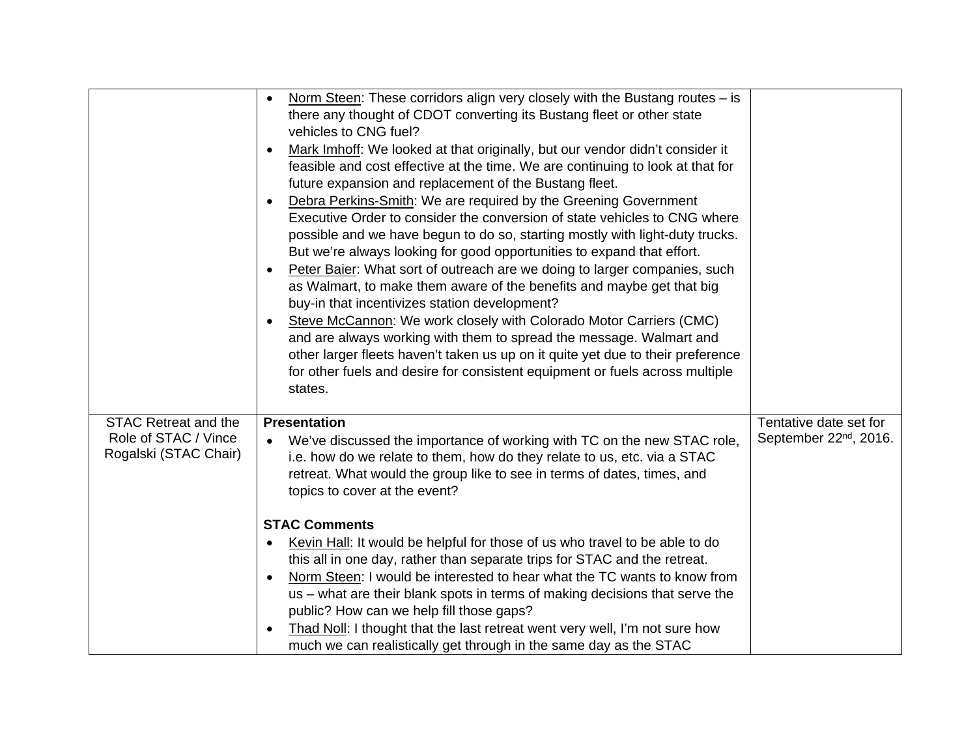|                                                                              | Norm Steen: These corridors align very closely with the Bustang routes $-$ is<br>$\bullet$<br>there any thought of CDOT converting its Bustang fleet or other state<br>vehicles to CNG fuel?<br>Mark Imhoff: We looked at that originally, but our vendor didn't consider it<br>٠<br>feasible and cost effective at the time. We are continuing to look at that for<br>future expansion and replacement of the Bustang fleet.<br>Debra Perkins-Smith: We are required by the Greening Government<br>$\bullet$<br>Executive Order to consider the conversion of state vehicles to CNG where<br>possible and we have begun to do so, starting mostly with light-duty trucks.<br>But we're always looking for good opportunities to expand that effort.<br>Peter Baier: What sort of outreach are we doing to larger companies, such<br>$\bullet$<br>as Walmart, to make them aware of the benefits and maybe get that big<br>buy-in that incentivizes station development?<br>Steve McCannon: We work closely with Colorado Motor Carriers (CMC)<br>$\bullet$<br>and are always working with them to spread the message. Walmart and<br>other larger fleets haven't taken us up on it quite yet due to their preference<br>for other fuels and desire for consistent equipment or fuels across multiple<br>states. |                                                              |
|------------------------------------------------------------------------------|------------------------------------------------------------------------------------------------------------------------------------------------------------------------------------------------------------------------------------------------------------------------------------------------------------------------------------------------------------------------------------------------------------------------------------------------------------------------------------------------------------------------------------------------------------------------------------------------------------------------------------------------------------------------------------------------------------------------------------------------------------------------------------------------------------------------------------------------------------------------------------------------------------------------------------------------------------------------------------------------------------------------------------------------------------------------------------------------------------------------------------------------------------------------------------------------------------------------------------------------------------------------------------------------------------------|--------------------------------------------------------------|
| <b>STAC Retreat and the</b><br>Role of STAC / Vince<br>Rogalski (STAC Chair) | <b>Presentation</b><br>We've discussed the importance of working with TC on the new STAC role,<br>i.e. how do we relate to them, how do they relate to us, etc. via a STAC<br>retreat. What would the group like to see in terms of dates, times, and<br>topics to cover at the event?<br><b>STAC Comments</b><br>Kevin Hall: It would be helpful for those of us who travel to be able to do<br>$\bullet$<br>this all in one day, rather than separate trips for STAC and the retreat.<br>Norm Steen: I would be interested to hear what the TC wants to know from<br>$\bullet$<br>us – what are their blank spots in terms of making decisions that serve the<br>public? How can we help fill those gaps?<br>Thad Noll: I thought that the last retreat went very well, I'm not sure how<br>$\bullet$<br>much we can realistically get through in the same day as the STAC                                                                                                                                                                                                                                                                                                                                                                                                                                     | Tentative date set for<br>September 22 <sup>nd</sup> , 2016. |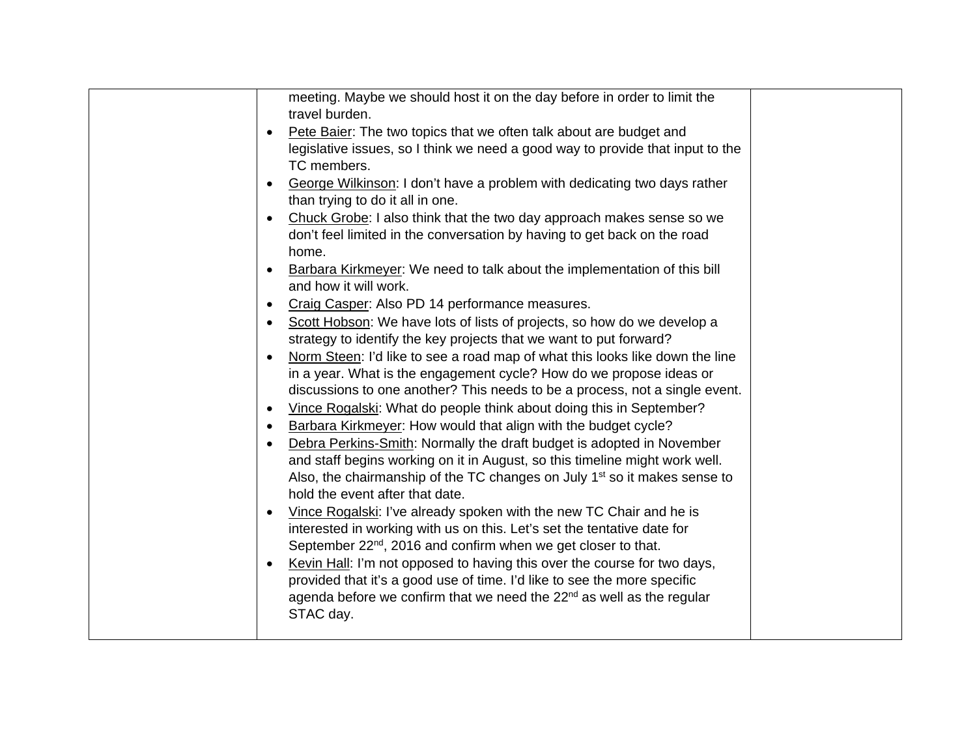| meeting. Maybe we should host it on the day before in order to limit the                  |  |
|-------------------------------------------------------------------------------------------|--|
| travel burden.                                                                            |  |
| Pete Baier: The two topics that we often talk about are budget and                        |  |
| legislative issues, so I think we need a good way to provide that input to the            |  |
| TC members.                                                                               |  |
| George Wilkinson: I don't have a problem with dedicating two days rather<br>$\bullet$     |  |
| than trying to do it all in one.                                                          |  |
| Chuck Grobe: I also think that the two day approach makes sense so we                     |  |
| don't feel limited in the conversation by having to get back on the road                  |  |
| home.                                                                                     |  |
| Barbara Kirkmeyer: We need to talk about the implementation of this bill                  |  |
| and how it will work.                                                                     |  |
| Craig Casper: Also PD 14 performance measures.<br>$\bullet$                               |  |
| Scott Hobson: We have lots of lists of projects, so how do we develop a<br>$\bullet$      |  |
| strategy to identify the key projects that we want to put forward?                        |  |
| Norm Steen: I'd like to see a road map of what this looks like down the line<br>$\bullet$ |  |
| in a year. What is the engagement cycle? How do we propose ideas or                       |  |
| discussions to one another? This needs to be a process, not a single event.               |  |
| Vince Rogalski: What do people think about doing this in September?<br>$\bullet$          |  |
| Barbara Kirkmeyer: How would that align with the budget cycle?<br>$\bullet$               |  |
| Debra Perkins-Smith: Normally the draft budget is adopted in November<br>$\bullet$        |  |
| and staff begins working on it in August, so this timeline might work well.               |  |
| Also, the chairmanship of the TC changes on July 1 <sup>st</sup> so it makes sense to     |  |
| hold the event after that date.                                                           |  |
| Vince Rogalski: I've already spoken with the new TC Chair and he is<br>$\bullet$          |  |
| interested in working with us on this. Let's set the tentative date for                   |  |
| September 22 <sup>nd</sup> , 2016 and confirm when we get closer to that.                 |  |
| Kevin Hall: I'm not opposed to having this over the course for two days,<br>$\bullet$     |  |
| provided that it's a good use of time. I'd like to see the more specific                  |  |
| agenda before we confirm that we need the 22 <sup>nd</sup> as well as the regular         |  |
| STAC day.                                                                                 |  |
|                                                                                           |  |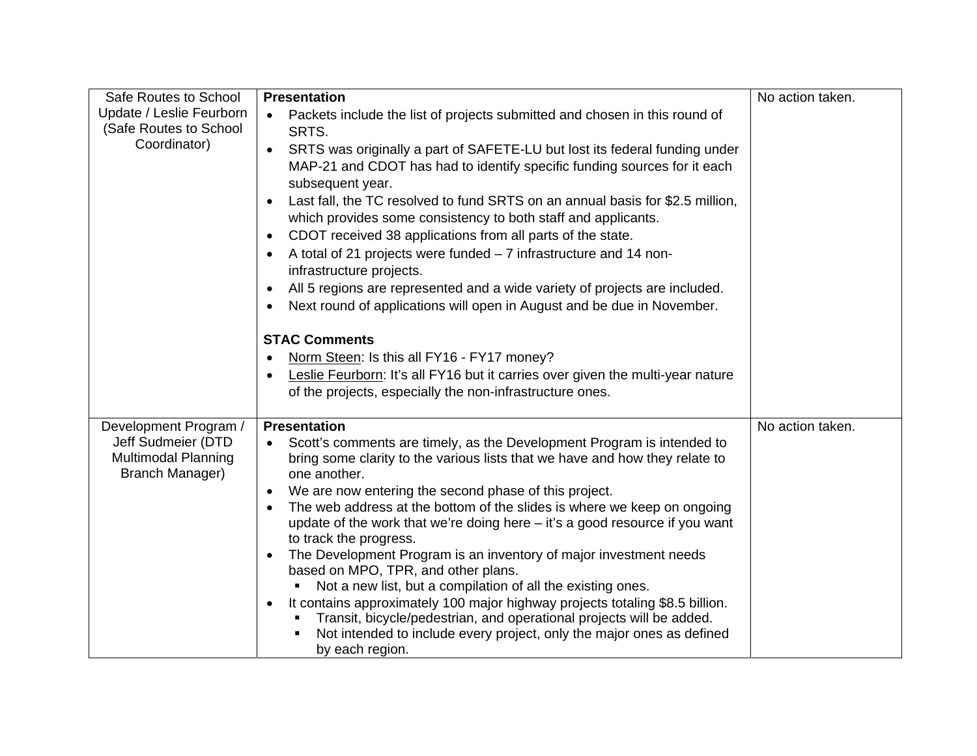| Safe Routes to School                                                                        | No action taken.<br><b>Presentation</b>                                                                                                                                                                                                                                                                                                                                                                                                                                                                                                                                                                                                                                                                                                                                                                                                                                                                           |                  |  |  |  |
|----------------------------------------------------------------------------------------------|-------------------------------------------------------------------------------------------------------------------------------------------------------------------------------------------------------------------------------------------------------------------------------------------------------------------------------------------------------------------------------------------------------------------------------------------------------------------------------------------------------------------------------------------------------------------------------------------------------------------------------------------------------------------------------------------------------------------------------------------------------------------------------------------------------------------------------------------------------------------------------------------------------------------|------------------|--|--|--|
| Update / Leslie Feurborn<br>(Safe Routes to School<br>Coordinator)                           | Packets include the list of projects submitted and chosen in this round of<br>$\bullet$<br>SRTS.<br>SRTS was originally a part of SAFETE-LU but lost its federal funding under<br>$\bullet$<br>MAP-21 and CDOT has had to identify specific funding sources for it each<br>subsequent year.<br>Last fall, the TC resolved to fund SRTS on an annual basis for \$2.5 million,<br>$\bullet$<br>which provides some consistency to both staff and applicants.<br>CDOT received 38 applications from all parts of the state.<br>$\bullet$<br>A total of 21 projects were funded - 7 infrastructure and 14 non-<br>infrastructure projects.<br>All 5 regions are represented and a wide variety of projects are included.<br>$\bullet$<br>Next round of applications will open in August and be due in November.                                                                                                       |                  |  |  |  |
|                                                                                              | <b>STAC Comments</b><br>Norm Steen: Is this all FY16 - FY17 money?<br>$\bullet$<br>Leslie Feurborn: It's all FY16 but it carries over given the multi-year nature<br>of the projects, especially the non-infrastructure ones.                                                                                                                                                                                                                                                                                                                                                                                                                                                                                                                                                                                                                                                                                     |                  |  |  |  |
| Development Program /<br>Jeff Sudmeier (DTD<br><b>Multimodal Planning</b><br>Branch Manager) | <b>Presentation</b><br>Scott's comments are timely, as the Development Program is intended to<br>bring some clarity to the various lists that we have and how they relate to<br>one another.<br>We are now entering the second phase of this project.<br>$\bullet$<br>The web address at the bottom of the slides is where we keep on ongoing<br>update of the work that we're doing here $-$ it's a good resource if you want<br>to track the progress.<br>The Development Program is an inventory of major investment needs<br>$\bullet$<br>based on MPO, TPR, and other plans.<br>Not a new list, but a compilation of all the existing ones.<br>It contains approximately 100 major highway projects totaling \$8.5 billion.<br>$\bullet$<br>Transit, bicycle/pedestrian, and operational projects will be added.<br>Not intended to include every project, only the major ones as defined<br>by each region. | No action taken. |  |  |  |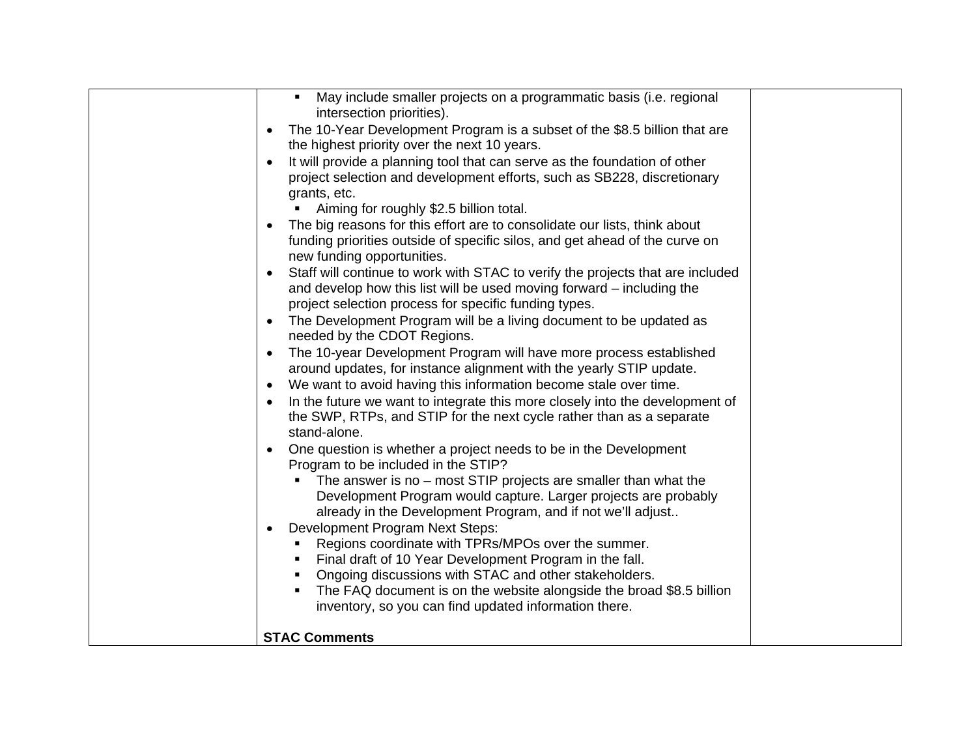| May include smaller projects on a programmatic basis (i.e. regional<br>intersection priorities).<br>The 10-Year Development Program is a subset of the \$8.5 billion that are<br>$\bullet$<br>the highest priority over the next 10 years.<br>It will provide a planning tool that can serve as the foundation of other<br>project selection and development efforts, such as SB228, discretionary<br>grants, etc.<br>Aiming for roughly \$2.5 billion total.<br>The big reasons for this effort are to consolidate our lists, think about<br>funding priorities outside of specific silos, and get ahead of the curve on<br>new funding opportunities.<br>Staff will continue to work with STAC to verify the projects that are included<br>and develop how this list will be used moving forward – including the                                                                                                                                                                                                 |  |
|--------------------------------------------------------------------------------------------------------------------------------------------------------------------------------------------------------------------------------------------------------------------------------------------------------------------------------------------------------------------------------------------------------------------------------------------------------------------------------------------------------------------------------------------------------------------------------------------------------------------------------------------------------------------------------------------------------------------------------------------------------------------------------------------------------------------------------------------------------------------------------------------------------------------------------------------------------------------------------------------------------------------|--|
| project selection process for specific funding types.<br>The Development Program will be a living document to be updated as<br>needed by the CDOT Regions.<br>The 10-year Development Program will have more process established<br>$\bullet$<br>around updates, for instance alignment with the yearly STIP update.<br>We want to avoid having this information become stale over time.<br>$\bullet$<br>In the future we want to integrate this more closely into the development of<br>the SWP, RTPs, and STIP for the next cycle rather than as a separate<br>stand-alone.<br>One question is whether a project needs to be in the Development<br>$\bullet$<br>Program to be included in the STIP?<br>The answer is no $-$ most STIP projects are smaller than what the<br>Development Program would capture. Larger projects are probably<br>already in the Development Program, and if not we'll adjust<br>Development Program Next Steps:<br>$\bullet$<br>Regions coordinate with TPRs/MPOs over the summer. |  |
| Final draft of 10 Year Development Program in the fall.<br>Ongoing discussions with STAC and other stakeholders.<br>The FAQ document is on the website alongside the broad \$8.5 billion<br>inventory, so you can find updated information there.<br><b>STAC Comments</b>                                                                                                                                                                                                                                                                                                                                                                                                                                                                                                                                                                                                                                                                                                                                          |  |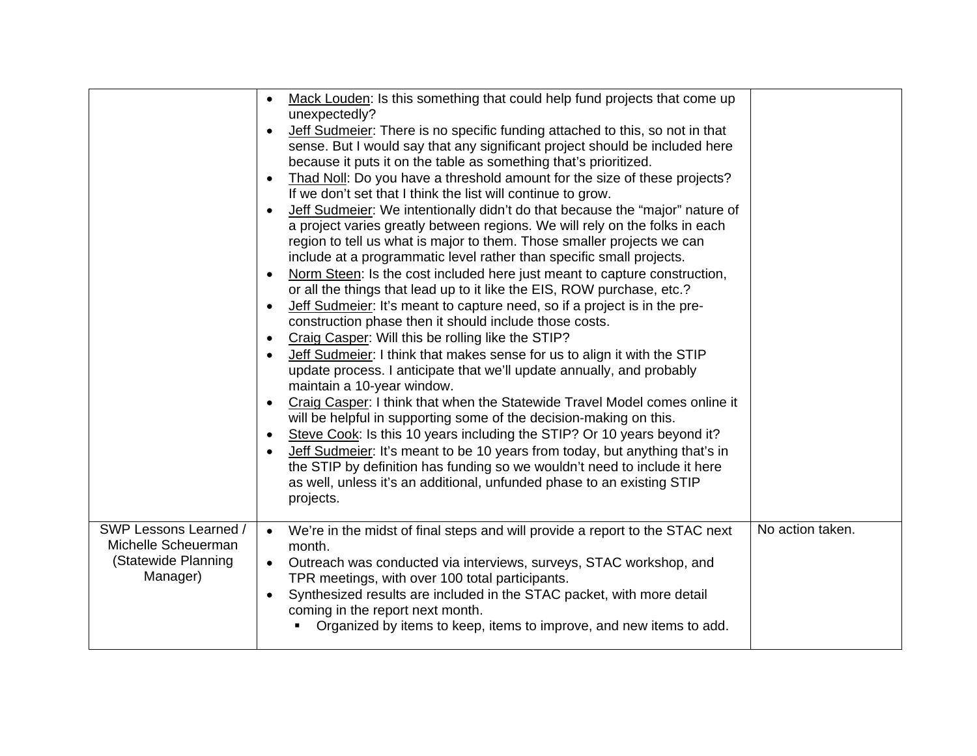|                       | Mack Louden: Is this something that could help fund projects that come up<br>$\bullet$                                                           |                  |
|-----------------------|--------------------------------------------------------------------------------------------------------------------------------------------------|------------------|
|                       | unexpectedly?                                                                                                                                    |                  |
|                       | Jeff Sudmeier: There is no specific funding attached to this, so not in that                                                                     |                  |
|                       | sense. But I would say that any significant project should be included here                                                                      |                  |
|                       | because it puts it on the table as something that's prioritized.                                                                                 |                  |
|                       | Thad Noll: Do you have a threshold amount for the size of these projects?<br>$\bullet$                                                           |                  |
|                       | If we don't set that I think the list will continue to grow.                                                                                     |                  |
|                       | Jeff Sudmeier: We intentionally didn't do that because the "major" nature of<br>$\bullet$                                                        |                  |
|                       | a project varies greatly between regions. We will rely on the folks in each                                                                      |                  |
|                       | region to tell us what is major to them. Those smaller projects we can                                                                           |                  |
|                       | include at a programmatic level rather than specific small projects.                                                                             |                  |
|                       | Norm Steen: Is the cost included here just meant to capture construction,<br>$\bullet$                                                           |                  |
|                       | or all the things that lead up to it like the EIS, ROW purchase, etc.?                                                                           |                  |
|                       | Jeff Sudmeier: It's meant to capture need, so if a project is in the pre-<br>$\bullet$<br>construction phase then it should include those costs. |                  |
|                       | Craig Casper: Will this be rolling like the STIP?<br>$\bullet$                                                                                   |                  |
|                       | Jeff Sudmeier: I think that makes sense for us to align it with the STIP                                                                         |                  |
|                       | update process. I anticipate that we'll update annually, and probably                                                                            |                  |
|                       | maintain a 10-year window.                                                                                                                       |                  |
|                       | Craig Casper: I think that when the Statewide Travel Model comes online it<br>$\bullet$                                                          |                  |
|                       | will be helpful in supporting some of the decision-making on this.                                                                               |                  |
|                       | Steve Cook: Is this 10 years including the STIP? Or 10 years beyond it?<br>$\bullet$                                                             |                  |
|                       | Jeff Sudmeier: It's meant to be 10 years from today, but anything that's in<br>$\bullet$                                                         |                  |
|                       | the STIP by definition has funding so we wouldn't need to include it here                                                                        |                  |
|                       | as well, unless it's an additional, unfunded phase to an existing STIP                                                                           |                  |
|                       | projects.                                                                                                                                        |                  |
|                       |                                                                                                                                                  |                  |
| SWP Lessons Learned / | We're in the midst of final steps and will provide a report to the STAC next<br>$\bullet$                                                        | No action taken. |
| Michelle Scheuerman   | month.                                                                                                                                           |                  |
| (Statewide Planning   | Outreach was conducted via interviews, surveys, STAC workshop, and<br>$\bullet$                                                                  |                  |
| Manager)              | TPR meetings, with over 100 total participants.                                                                                                  |                  |
|                       | Synthesized results are included in the STAC packet, with more detail<br>$\bullet$                                                               |                  |
|                       | coming in the report next month.                                                                                                                 |                  |
|                       | Organized by items to keep, items to improve, and new items to add.                                                                              |                  |
|                       |                                                                                                                                                  |                  |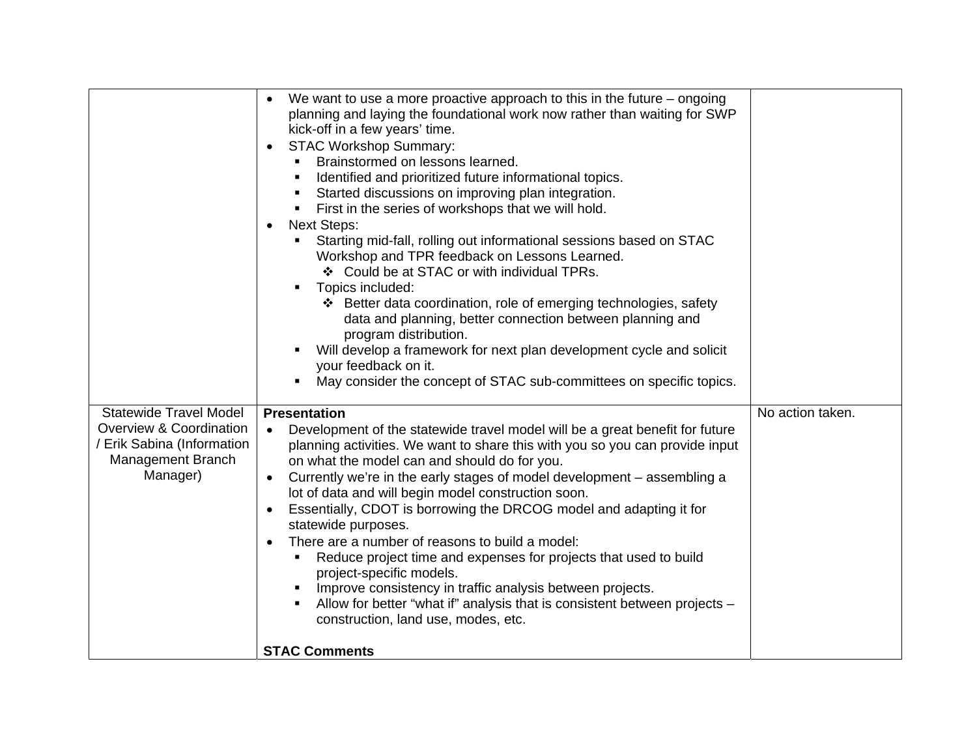|                                                                                                                         | We want to use a more proactive approach to this in the future $-$ ongoing<br>$\bullet$<br>planning and laying the foundational work now rather than waiting for SWP<br>kick-off in a few years' time.<br><b>STAC Workshop Summary:</b><br>$\bullet$<br>Brainstormed on lessons learned.<br>Identified and prioritized future informational topics.<br>Started discussions on improving plan integration.<br>٠<br>First in the series of workshops that we will hold.<br>$\blacksquare$<br><b>Next Steps:</b><br>$\bullet$<br>Starting mid-fall, rolling out informational sessions based on STAC<br>Workshop and TPR feedback on Lessons Learned.<br>❖ Could be at STAC or with individual TPRs.<br>Topics included:<br>❖ Better data coordination, role of emerging technologies, safety<br>data and planning, better connection between planning and<br>program distribution.<br>Will develop a framework for next plan development cycle and solicit<br>your feedback on it.<br>May consider the concept of STAC sub-committees on specific topics. |                  |
|-------------------------------------------------------------------------------------------------------------------------|---------------------------------------------------------------------------------------------------------------------------------------------------------------------------------------------------------------------------------------------------------------------------------------------------------------------------------------------------------------------------------------------------------------------------------------------------------------------------------------------------------------------------------------------------------------------------------------------------------------------------------------------------------------------------------------------------------------------------------------------------------------------------------------------------------------------------------------------------------------------------------------------------------------------------------------------------------------------------------------------------------------------------------------------------------|------------------|
| <b>Statewide Travel Model</b><br>Overview & Coordination<br>/ Erik Sabina (Information<br>Management Branch<br>Manager) | <b>Presentation</b><br>Development of the statewide travel model will be a great benefit for future<br>$\bullet$<br>planning activities. We want to share this with you so you can provide input<br>on what the model can and should do for you.<br>Currently we're in the early stages of model development - assembling a<br>$\bullet$<br>lot of data and will begin model construction soon.<br>Essentially, CDOT is borrowing the DRCOG model and adapting it for<br>$\bullet$<br>statewide purposes.<br>There are a number of reasons to build a model:<br>$\bullet$<br>Reduce project time and expenses for projects that used to build<br>project-specific models.<br>Improve consistency in traffic analysis between projects.<br>Allow for better "what if" analysis that is consistent between projects -<br>construction, land use, modes, etc.<br><b>STAC Comments</b>                                                                                                                                                                      | No action taken. |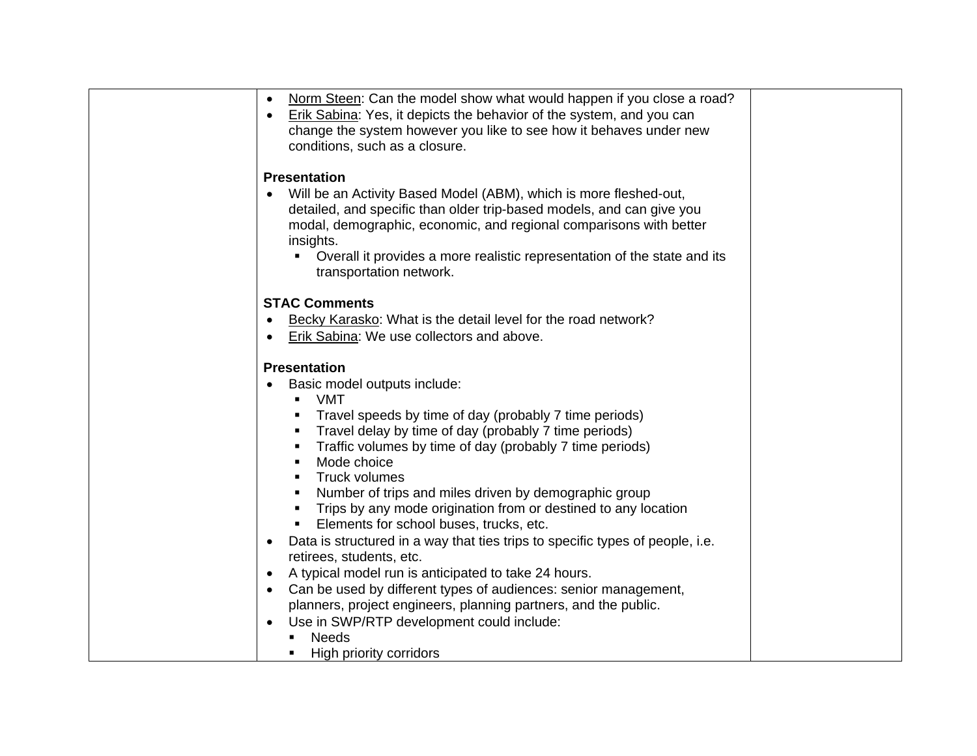| Norm Steen: Can the model show what would happen if you close a road?<br>$\bullet$<br>Erik Sabina: Yes, it depicts the behavior of the system, and you can<br>$\bullet$<br>change the system however you like to see how it behaves under new<br>conditions, such as a closure.                                                                                                                                                                                                                                                                                                                                                                                                                                                                                                                                                                                                                 |  |
|-------------------------------------------------------------------------------------------------------------------------------------------------------------------------------------------------------------------------------------------------------------------------------------------------------------------------------------------------------------------------------------------------------------------------------------------------------------------------------------------------------------------------------------------------------------------------------------------------------------------------------------------------------------------------------------------------------------------------------------------------------------------------------------------------------------------------------------------------------------------------------------------------|--|
| <b>Presentation</b><br>Will be an Activity Based Model (ABM), which is more fleshed-out,<br>detailed, and specific than older trip-based models, and can give you<br>modal, demographic, economic, and regional comparisons with better<br>insights.<br>Overall it provides a more realistic representation of the state and its<br>transportation network.                                                                                                                                                                                                                                                                                                                                                                                                                                                                                                                                     |  |
| <b>STAC Comments</b><br>Becky Karasko: What is the detail level for the road network?<br>$\bullet$<br>Erik Sabina: We use collectors and above.                                                                                                                                                                                                                                                                                                                                                                                                                                                                                                                                                                                                                                                                                                                                                 |  |
| <b>Presentation</b><br>Basic model outputs include:<br>VMT<br>٠.<br>Travel speeds by time of day (probably 7 time periods)<br>Travel delay by time of day (probably 7 time periods)<br>Traffic volumes by time of day (probably 7 time periods)<br>Mode choice<br>Truck volumes<br>Number of trips and miles driven by demographic group<br>Trips by any mode origination from or destined to any location<br>Elements for school buses, trucks, etc.<br>Data is structured in a way that ties trips to specific types of people, i.e.<br>$\bullet$<br>retirees, students, etc.<br>A typical model run is anticipated to take 24 hours.<br>$\bullet$<br>Can be used by different types of audiences: senior management,<br>$\bullet$<br>planners, project engineers, planning partners, and the public.<br>Use in SWP/RTP development could include:<br><b>Needs</b><br>High priority corridors |  |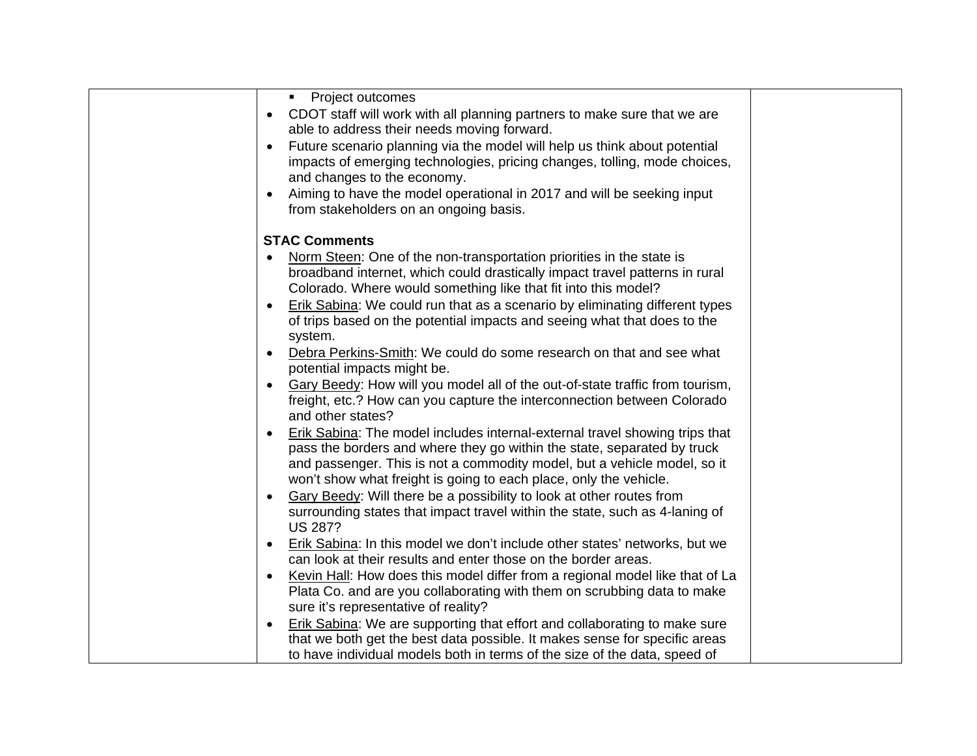| • Project outcomes                                                                                                                                     |  |
|--------------------------------------------------------------------------------------------------------------------------------------------------------|--|
| CDOT staff will work with all planning partners to make sure that we are<br>$\bullet$                                                                  |  |
| able to address their needs moving forward.                                                                                                            |  |
| Future scenario planning via the model will help us think about potential<br>$\bullet$                                                                 |  |
| impacts of emerging technologies, pricing changes, tolling, mode choices,                                                                              |  |
| and changes to the economy.                                                                                                                            |  |
| Aiming to have the model operational in 2017 and will be seeking input                                                                                 |  |
| from stakeholders on an ongoing basis.                                                                                                                 |  |
|                                                                                                                                                        |  |
| <b>STAC Comments</b>                                                                                                                                   |  |
| Norm Steen: One of the non-transportation priorities in the state is                                                                                   |  |
| broadband internet, which could drastically impact travel patterns in rural                                                                            |  |
| Colorado. Where would something like that fit into this model?                                                                                         |  |
| Erik Sabina: We could run that as a scenario by eliminating different types<br>$\bullet$                                                               |  |
| of trips based on the potential impacts and seeing what that does to the                                                                               |  |
| system.                                                                                                                                                |  |
| Debra Perkins-Smith: We could do some research on that and see what<br>$\bullet$                                                                       |  |
| potential impacts might be.                                                                                                                            |  |
| Gary Beedy: How will you model all of the out-of-state traffic from tourism,<br>$\bullet$                                                              |  |
| freight, etc.? How can you capture the interconnection between Colorado<br>and other states?                                                           |  |
|                                                                                                                                                        |  |
| Erik Sabina: The model includes internal-external travel showing trips that<br>pass the borders and where they go within the state, separated by truck |  |
| and passenger. This is not a commodity model, but a vehicle model, so it                                                                               |  |
| won't show what freight is going to each place, only the vehicle.                                                                                      |  |
| Gary Beedy: Will there be a possibility to look at other routes from                                                                                   |  |
| surrounding states that impact travel within the state, such as 4-laning of                                                                            |  |
| <b>US 287?</b>                                                                                                                                         |  |
| Erik Sabina: In this model we don't include other states' networks, but we<br>$\bullet$                                                                |  |
| can look at their results and enter those on the border areas.                                                                                         |  |
| Kevin Hall: How does this model differ from a regional model like that of La<br>$\bullet$                                                              |  |
| Plata Co. and are you collaborating with them on scrubbing data to make                                                                                |  |
| sure it's representative of reality?                                                                                                                   |  |
| Erik Sabina: We are supporting that effort and collaborating to make sure<br>$\bullet$                                                                 |  |
| that we both get the best data possible. It makes sense for specific areas                                                                             |  |
| to have individual models both in terms of the size of the data, speed of                                                                              |  |